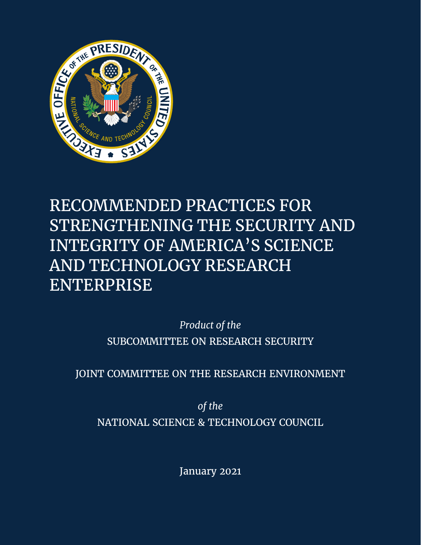

# RECOMMENDED PRACTICES FOR STRENGTHENING THE SECURITY AND INTEGRITY OF AMERICA'S SCIENCE AND TECHNOLOGY RESEARCH ENTERPRISE

*Product of the* SUBCOMMITTEE ON RESEARCH SECURITY

JOINT COMMITTEE ON THE RESEARCH ENVIRONMENT

*of the* NATIONAL SCIENCE & TECHNOLOGY COUNCIL

January 2021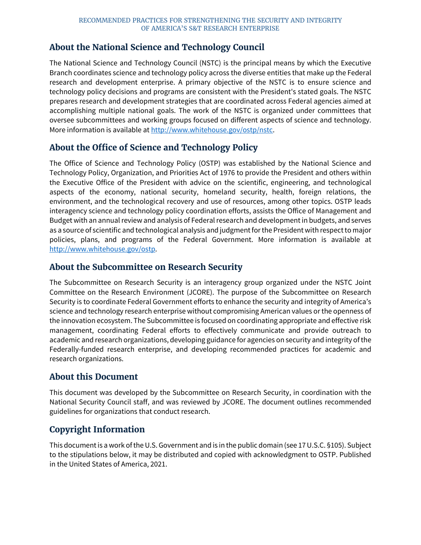### **About the National Science and Technology Council**

The National Science and Technology Council (NSTC) is the principal means by which the Executive Branch coordinates science and technology policy across the diverse entities that make up the Federal research and development enterprise. A primary objective of the NSTC is to ensure science and technology policy decisions and programs are consistent with the President's stated goals. The NSTC prepares research and development strategies that are coordinated across Federal agencies aimed at accomplishing multiple national goals. The work of the NSTC is organized under committees that oversee subcommittees and working groups focused on different aspects of science and technology. More information is available at [http://www.whitehouse.gov/ostp/nstc.](http://www.whitehouse.gov/ostp/nstc)

### **About the Office of Science and Technology Policy**

The Office of Science and Technology Policy (OSTP) was established by the National Science and Technology Policy, Organization, and Priorities Act of 1976 to provide the President and others within the Executive Office of the President with advice on the scientific, engineering, and technological aspects of the economy, national security, homeland security, health, foreign relations, the environment, and the technological recovery and use of resources, among other topics. OSTP leads interagency science and technology policy coordination efforts, assists the Office of Management and Budget with an annual review and analysis of Federal research and development in budgets, and serves as a source of scientific and technological analysis and judgment for the President with respect to major policies, plans, and programs of the Federal Government. More information is available at [http://www.whitehouse.gov/ostp.](http://www.whitehouse.gov/ostp)

### **About the Subcommittee on Research Security**

The Subcommittee on Research Security is an interagency group organized under the NSTC Joint Committee on the Research Environment (JCORE). The purpose of the Subcommittee on Research Security is to coordinate Federal Government efforts to enhance the security and integrity of America's science and technology research enterprise without compromising American values or the openness of the innovation ecosystem. The Subcommittee is focused on coordinating appropriate and effective risk management, coordinating Federal efforts to effectively communicate and provide outreach to academic and research organizations, developing guidance for agencies on security and integrity of the Federally-funded research enterprise, and developing recommended practices for academic and research organizations.

### **About this Document**

This document was developed by the Subcommittee on Research Security, in coordination with the National Security Council staff, and was reviewed by JCORE. The document outlines recommended guidelines for organizations that conduct research.

### **Copyright Information**

This document is a work of the U.S. Government and is in the public domain (see 17 U.S.C. §105). Subject to the stipulations below, it may be distributed and copied with acknowledgment to OSTP. Published in the United States of America, 2021.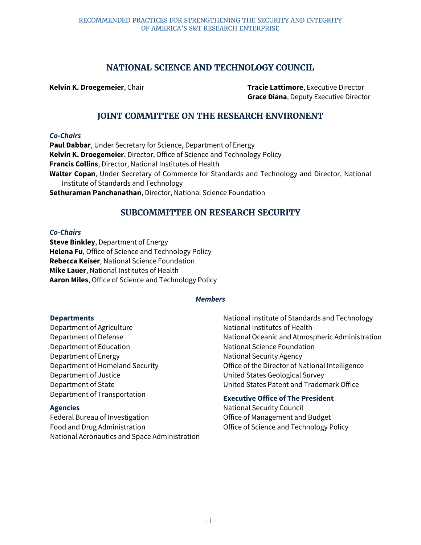### **NATIONAL SCIENCE AND TECHNOLOGY COUNCIL**

**Kelvin K. Droegemeier**, Chair **Tracie Lattimore**, Executive Director **Grace Diana**, Deputy Executive Director

### **JOINT COMMITTEE ON THE RESEARCH ENVIRONENT**

#### *Co-Chairs*

**Paul Dabbar**, Under Secretary for Science, Department of Energy **Kelvin K. Droegemeier**, Director, Office of Science and Technology Policy **Francis Collins**, Director, National Institutes of Health **Walter Copan**, Under Secretary of Commerce for Standards and Technology and Director, National Institute of Standards and Technology **Sethuraman Panchanathan**, Director, National Science Foundation

### **SUBCOMMITTEE ON RESEARCH SECURITY**

#### *Co-Chairs*

**Steve Binkley**, Department of Energy **Helena Fu**, Office of Science and Technology Policy **Rebecca Keiser**, National Science Foundation **Mike Lauer**, National Institutes of Health **Aaron Miles**, Office of Science and Technology Policy

#### *Members*

#### **Departments**

Department of Agriculture Department of Defense Department of Education Department of Energy Department of Homeland Security Department of Justice Department of State Department of Transportation

#### **Agencies**

Federal Bureau of Investigation Food and Drug Administration National Aeronautics and Space Administration National Institute of Standards and Technology National Institutes of Health National Oceanic and Atmospheric Administration National Science Foundation National Security Agency Office of the Director of National Intelligence United States Geological Survey United States Patent and Trademark Office

#### **Executive Office of The President**

National Security Council Office of Management and Budget Office of Science and Technology Policy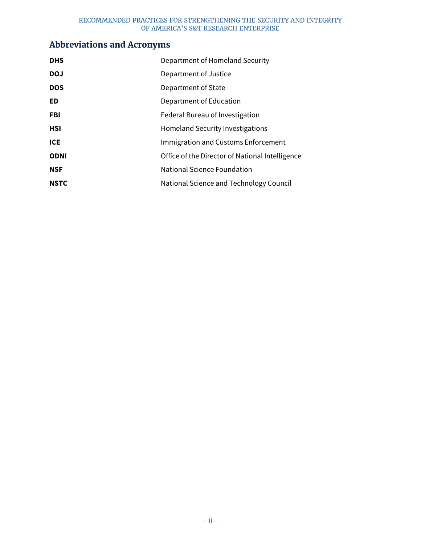# **Abbreviations and Acronyms**

| <b>DHS</b>  | Department of Homeland Security                 |
|-------------|-------------------------------------------------|
| <b>DOJ</b>  | Department of Justice                           |
| <b>DOS</b>  | Department of State                             |
| <b>ED</b>   | Department of Education                         |
| <b>FBI</b>  | Federal Bureau of Investigation                 |
| <b>HSI</b>  | Homeland Security Investigations                |
| ICE         | Immigration and Customs Enforcement             |
| <b>ODNI</b> | Office of the Director of National Intelligence |
| <b>NSF</b>  | National Science Foundation                     |
| <b>NSTC</b> | National Science and Technology Council         |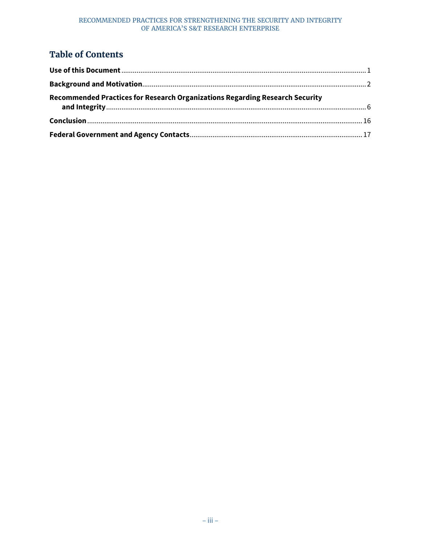## **Table of Contents**

| Recommended Practices for Research Organizations Regarding Research Security |  |
|------------------------------------------------------------------------------|--|
|                                                                              |  |
|                                                                              |  |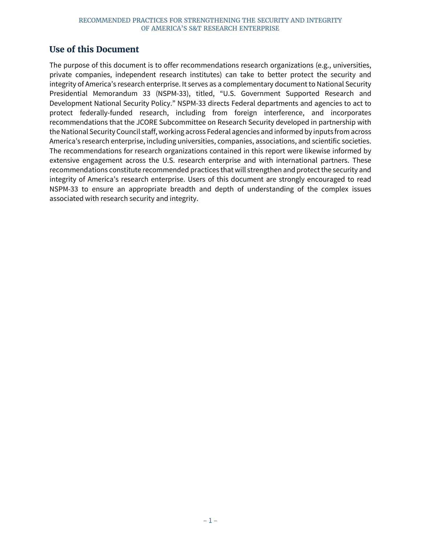### <span id="page-5-0"></span>**Use of this Document**

The purpose of this document is to offer recommendations research organizations (e.g., universities, private companies, independent research institutes) can take to better protect the security and integrity of America's research enterprise. It serves as a complementary document to National Security Presidential Memorandum 33 (NSPM-33), titled, "U.S. Government Supported Research and Development National Security Policy." NSPM-33 directs Federal departments and agencies to act to protect federally-funded research, including from foreign interference, and incorporates recommendations that the JCORE Subcommittee on Research Security developed in partnership with the National Security Council staff, working across Federal agencies and informed by inputs from across America's research enterprise, including universities, companies, associations, and scientific societies. The recommendations for research organizations contained in this report were likewise informed by extensive engagement across the U.S. research enterprise and with international partners. These recommendations constitute recommended practices that will strengthen and protect the security and integrity of America's research enterprise. Users of this document are strongly encouraged to read NSPM-33 to ensure an appropriate breadth and depth of understanding of the complex issues associated with research security and integrity.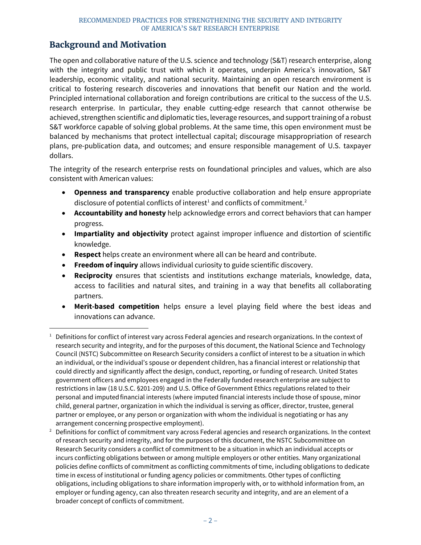### <span id="page-6-0"></span>**Background and Motivation**

The open and collaborative nature of the U.S. science and technology (S&T) research enterprise, along with the integrity and public trust with which it operates, underpin America's innovation, S&T leadership, economic vitality, and national security. Maintaining an open research environment is critical to fostering research discoveries and innovations that benefit our Nation and the world. Principled international collaboration and foreign contributions are critical to the success of the U.S. research enterprise. In particular, they enable cutting-edge research that cannot otherwise be achieved, strengthen scientific and diplomatic ties, leverage resources, and support training of a robust S&T workforce capable of solving global problems. At the same time, this open environment must be balanced by mechanisms that protect intellectual capital; discourage misappropriation of research plans, pre-publication data, and outcomes; and ensure responsible management of U.S. taxpayer dollars.

The integrity of the research enterprise rests on foundational principles and values, which are also consistent with American values:

- **Openness and transparency** enable productive collaboration and help ensure appropriate disclosure of potential conflicts of interest<sup>[1](#page-6-1)</sup> and conflicts of commitment.<sup>[2](#page-6-2)</sup>
- **Accountability and honesty** help acknowledge errors and correct behaviors that can hamper progress.
- **Impartiality and objectivity** protect against improper influence and distortion of scientific knowledge.
- **Respect** helps create an environment where all can be heard and contribute.
- **Freedom of inquiry** allows individual curiosity to guide scientific discovery.
- **Reciprocity** ensures that scientists and institutions exchange materials, knowledge, data, access to facilities and natural sites, and training in a way that benefits all collaborating partners.
- **Merit-based competition** helps ensure a level playing field where the best ideas and innovations can advance.

<span id="page-6-1"></span> <sup>1</sup> Definitions for conflict of interest vary across Federal agencies and research organizations. In the context of research security and integrity, and for the purposes of this document, the National Science and Technology Council (NSTC) Subcommittee on Research Security considers a conflict of interest to be a situation in which an individual, or the individual's spouse or dependent children, has a financial interest or relationship that could directly and significantly affect the design, conduct, reporting, or funding of research. United States government officers and employees engaged in the Federally funded research enterprise are subject to restrictions in law (18 U.S.C. §201-209) and U.S. Office of Government Ethics regulations related to their personal and imputed financial interests (where imputed financial interests include those of spouse, minor child, general partner, organization in which the individual is serving as officer, director, trustee, general partner or employee, or any person or organization with whom the individual is negotiating or has any arrangement concerning prospective employment).

<span id="page-6-2"></span> $2$  Definitions for conflict of commitment vary across Federal agencies and research organizations. In the context of research security and integrity, and for the purposes of this document, the NSTC Subcommittee on Research Security considers a conflict of commitment to be a situation in which an individual accepts or incurs conflicting obligations between or among multiple employers or other entities. Many organizational policies define conflicts of commitment as conflicting commitments of time, including obligations to dedicate time in excess of institutional or funding agency policies or commitments. Other types of conflicting obligations, including obligations to share information improperly with, or to withhold information from, an employer or funding agency, can also threaten research security and integrity, and are an element of a broader concept of conflicts of commitment.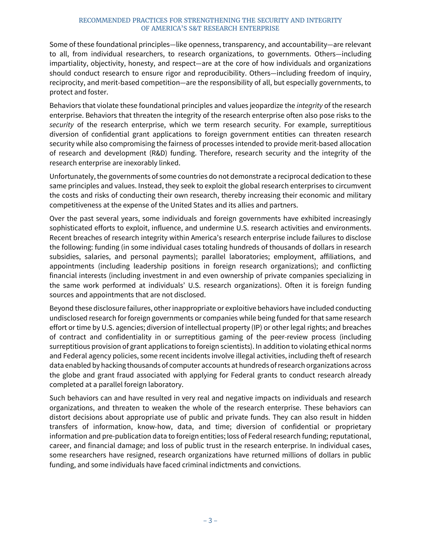Some of these foundational principles—like openness, transparency, and accountability—are relevant to all, from individual researchers, to research organizations, to governments. Others—including impartiality, objectivity, honesty, and respect—are at the core of how individuals and organizations should conduct research to ensure rigor and reproducibility. Others—including freedom of inquiry, reciprocity, and merit-based competition—are the responsibility of all, but especially governments, to protect and foster.

Behaviors that violate these foundational principles and values jeopardize the *integrity* of the research enterprise. Behaviors that threaten the integrity of the research enterprise often also pose risks to the *security* of the research enterprise, which we term research security. For example, surreptitious diversion of confidential grant applications to foreign government entities can threaten research security while also compromising the fairness of processes intended to provide merit-based allocation of research and development (R&D) funding. Therefore, research security and the integrity of the research enterprise are inexorably linked.

Unfortunately, the governments of some countries do not demonstrate a reciprocal dedication to these same principles and values. Instead, they seek to exploit the global research enterprises to circumvent the costs and risks of conducting their own research, thereby increasing their economic and military competitiveness at the expense of the United States and its allies and partners.

Over the past several years, some individuals and foreign governments have exhibited increasingly sophisticated efforts to exploit, influence, and undermine U.S. research activities and environments. Recent breaches of research integrity within America's research enterprise include failures to disclose the following: funding (in some individual cases totaling hundreds of thousands of dollars in research subsidies, salaries, and personal payments); parallel laboratories; employment, affiliations, and appointments (including leadership positions in foreign research organizations); and conflicting financial interests (including investment in and even ownership of private companies specializing in the same work performed at individuals' U.S. research organizations). Often it is foreign funding sources and appointments that are not disclosed.

Beyond these disclosure failures, other inappropriate or exploitive behaviors have included conducting undisclosed research for foreign governments or companies while being funded for that same research effort or time by U.S. agencies; diversion of intellectual property (IP) or other legal rights; and breaches of contract and confidentiality in or surreptitious gaming of the peer-review process (including surreptitious provision of grant applications to foreign scientists). In addition to violating ethical norms and Federal agency policies, some recent incidents involve illegal activities, including theft of research data enabled by hacking thousands of computer accounts at hundreds of research organizations across the globe and grant fraud associated with applying for Federal grants to conduct research already completed at a parallel foreign laboratory.

Such behaviors can and have resulted in very real and negative impacts on individuals and research organizations, and threaten to weaken the whole of the research enterprise. These behaviors can distort decisions about appropriate use of public and private funds. They can also result in hidden transfers of information, know-how, data, and time; diversion of confidential or proprietary information and pre-publication data to foreign entities; loss of Federal research funding; reputational, career, and financial damage; and loss of public trust in the research enterprise. In individual cases, some researchers have resigned, research organizations have returned millions of dollars in public funding, and some individuals have faced criminal indictments and convictions.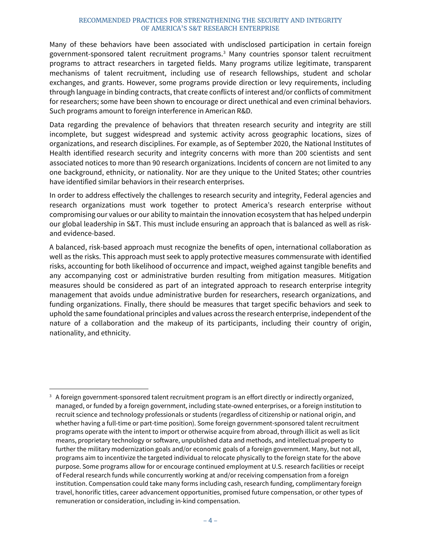Many of these behaviors have been associated with undisclosed participation in certain foreign government-sponsored talent recruitment programs.[3](#page-8-0) Many countries sponsor talent recruitment programs to attract researchers in targeted fields. Many programs utilize legitimate, transparent mechanisms of talent recruitment, including use of research fellowships, student and scholar exchanges, and grants. However, some programs provide direction or levy requirements, including through language in binding contracts, that create conflicts of interest and/or conflicts of commitment for researchers; some have been shown to encourage or direct unethical and even criminal behaviors. Such programs amount to foreign interference in American R&D.

Data regarding the prevalence of behaviors that threaten research security and integrity are still incomplete, but suggest widespread and systemic activity across geographic locations, sizes of organizations, and research disciplines. For example, as of September 2020, the National Institutes of Health identified research security and integrity concerns with more than 200 scientists and sent associated notices to more than 90 research organizations. Incidents of concern are not limited to any one background, ethnicity, or nationality. Nor are they unique to the United States; other countries have identified similar behaviors in their research enterprises.

In order to address effectively the challenges to research security and integrity, Federal agencies and research organizations must work together to protect America's research enterprise without compromising our values or our ability to maintain the innovation ecosystem that has helped underpin our global leadership in S&T. This must include ensuring an approach that is balanced as well as riskand evidence-based.

A balanced, risk-based approach must recognize the benefits of open, international collaboration as well as the risks. This approach must seek to apply protective measures commensurate with identified risks, accounting for both likelihood of occurrence and impact, weighed against tangible benefits and any accompanying cost or administrative burden resulting from mitigation measures. Mitigation measures should be considered as part of an integrated approach to research enterprise integrity management that avoids undue administrative burden for researchers, research organizations, and funding organizations. Finally, there should be measures that target specific behaviors and seek to uphold the same foundational principles and values across the research enterprise, independent of the nature of a collaboration and the makeup of its participants, including their country of origin, nationality, and ethnicity.

<span id="page-8-0"></span><sup>&</sup>lt;sup>3</sup> A foreign government-sponsored talent recruitment program is an effort directly or indirectly organized, managed, or funded by a foreign government, including state-owned enterprises, or a foreign institution to recruit science and technology professionals or students (regardless of citizenship or national origin, and whether having a full-time or part-time position). Some foreign government-sponsored talent recruitment programs operate with the intent to import or otherwise acquire from abroad, through illicit as well as licit means, proprietary technology or software, unpublished data and methods, and intellectual property to further the military modernization goals and/or economic goals of a foreign government. Many, but not all, programs aim to incentivize the targeted individual to relocate physically to the foreign state for the above purpose. Some programs allow for or encourage continued employment at U.S. research facilities or receipt of Federal research funds while concurrently working at and/or receiving compensation from a foreign institution. Compensation could take many forms including cash, research funding, complimentary foreign travel, honorific titles, career advancement opportunities, promised future compensation, or other types of remuneration or consideration, including in-kind compensation.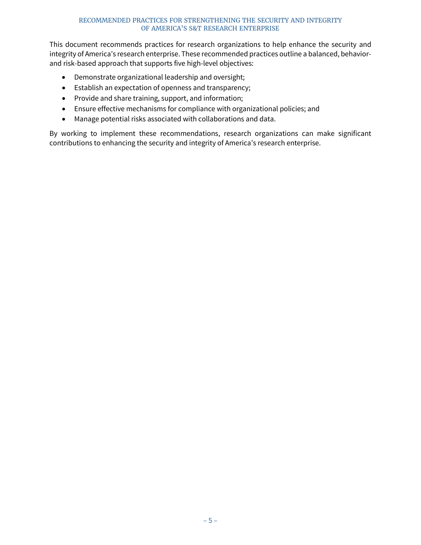This document recommends practices for research organizations to help enhance the security and integrity of America's research enterprise. These recommended practices outline a balanced, behaviorand risk-based approach that supports five high-level objectives:

- Demonstrate organizational leadership and oversight;
- Establish an expectation of openness and transparency;
- Provide and share training, support, and information;
- Ensure effective mechanisms for compliance with organizational policies; and
- Manage potential risks associated with collaborations and data.

By working to implement these recommendations, research organizations can make significant contributions to enhancing the security and integrity of America's research enterprise.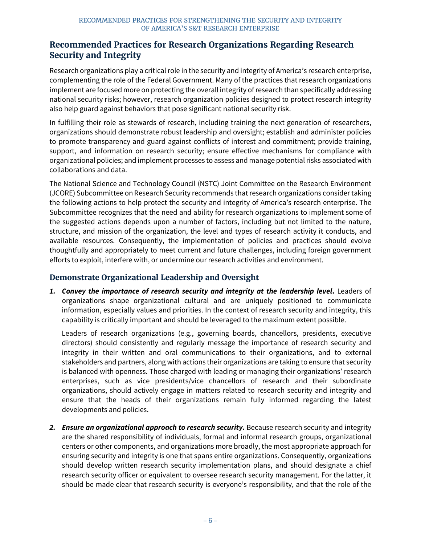### <span id="page-10-0"></span>**Recommended Practices for Research Organizations Regarding Research Security and Integrity**

Research organizations play a critical role in the security and integrity of America's research enterprise, complementing the role of the Federal Government. Many of the practices that research organizations implement are focused more on protecting the overall integrity of research than specifically addressing national security risks; however, research organization policies designed to protect research integrity also help guard against behaviors that pose significant national security risk.

In fulfilling their role as stewards of research, including training the next generation of researchers, organizations should demonstrate robust leadership and oversight; establish and administer policies to promote transparency and guard against conflicts of interest and commitment; provide training, support, and information on research security; ensure effective mechanisms for compliance with organizational policies; and implement processes to assess and manage potential risks associated with collaborations and data.

The National Science and Technology Council (NSTC) Joint Committee on the Research Environment (JCORE) Subcommittee on Research Security recommends that research organizations consider taking the following actions to help protect the security and integrity of America's research enterprise. The Subcommittee recognizes that the need and ability for research organizations to implement some of the suggested actions depends upon a number of factors, including but not limited to the nature, structure, and mission of the organization, the level and types of research activity it conducts, and available resources. Consequently, the implementation of policies and practices should evolve thoughtfully and appropriately to meet current and future challenges, including foreign government efforts to exploit, interfere with, or undermine our research activities and environment.

### **Demonstrate Organizational Leadership and Oversight**

*1. Convey the importance of research security and integrity at the leadership level***.** Leaders of organizations shape organizational cultural and are uniquely positioned to communicate information, especially values and priorities. In the context of research security and integrity, this capability is critically important and should be leveraged to the maximum extent possible.

Leaders of research organizations (e.g., governing boards, chancellors, presidents, executive directors) should consistently and regularly message the importance of research security and integrity in their written and oral communications to their organizations, and to external stakeholders and partners, along with actions their organizations are taking to ensure that security is balanced with openness. Those charged with leading or managing their organizations' research enterprises, such as vice presidents/vice chancellors of research and their subordinate organizations, should actively engage in matters related to research security and integrity and ensure that the heads of their organizations remain fully informed regarding the latest developments and policies.

2. *Ensure an organizational approach to research security.* Because research security and integrity are the shared responsibility of individuals, formal and informal research groups, organizational centers or other components, and organizations more broadly, the most appropriate approach for ensuring security and integrity is one that spans entire organizations. Consequently, organizations should develop written research security implementation plans, and should designate a chief research security officer or equivalent to oversee research security management. For the latter, it should be made clear that research security is everyone's responsibility, and that the role of the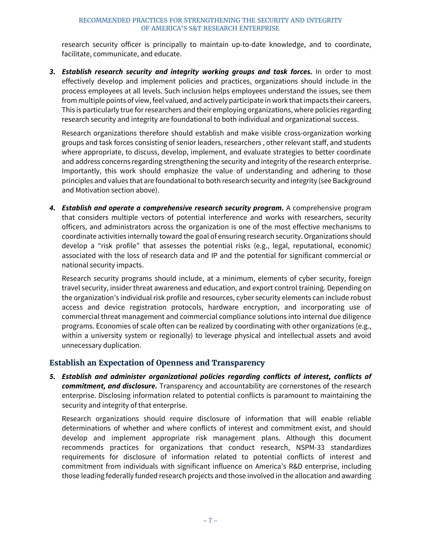research security officer is principally to maintain up-to-date knowledge, and to coordinate, facilitate, communicate, and educate.

*3. Establish research security and integrity working groups and task forces.* In order to most effectively develop and implement policies and practices, organizations should include in the process employees at all levels. Such inclusion helps employees understand the issues, see them from multiple points of view, feel valued, and actively participate in work that impacts their careers. This is particularly true for researchers and their employing organizations, where policies regarding research security and integrity are foundational to both individual and organizational success.

Research organizations therefore should establish and make visible cross-organization working groups and task forces consisting of senior leaders, researchers , other relevant staff, and students where appropriate, to discuss, develop, implement, and evaluate strategies to better coordinate and address concerns regarding strengthening the security and integrity of the research enterprise. Importantly, this work should emphasize the value of understanding and adhering to those principles and values that are foundational to both research security and integrity (see Background and Motivation section above).

*4. Establish and operate a comprehensive research security program.* A comprehensive program that considers multiple vectors of potential interference and works with researchers, security officers, and administrators across the organization is one of the most effective mechanisms to coordinate activities internally toward the goal of ensuring research security. Organizations should develop a "risk profile" that assesses the potential risks (e.g., legal, reputational, economic) associated with the loss of research data and IP and the potential for significant commercial or national security impacts.

Research security programs should include, at a minimum, elements of cyber security, foreign travel security, insider threat awareness and education, and export control training. Depending on the organization's individual risk profile and resources, cyber security elements can include robust access and device registration protocols, hardware encryption, and incorporating use of commercial threat management and commercial compliance solutions into internal due diligence programs. Economies of scale often can be realized by coordinating with other organizations (e.g., within a university system or regionally) to leverage physical and intellectual assets and avoid unnecessary duplication.

### **Establish an Expectation of Openness and Transparency**

*5. Establish and administer organizational policies regarding conflicts of interest, conflicts of commitment, and disclosure.* Transparency and accountability are cornerstones of the research enterprise. Disclosing information related to potential conflicts is paramount to maintaining the security and integrity of that enterprise.

Research organizations should require disclosure of information that will enable reliable determinations of whether and where conflicts of interest and commitment exist, and should develop and implement appropriate risk management plans. Although this document recommends practices for organizations that conduct research, NSPM-33 standardizes requirements for disclosure of information related to potential conflicts of interest and commitment from individuals with significant influence on America's R&D enterprise, including those leading federally funded research projects and those involved in the allocation and awarding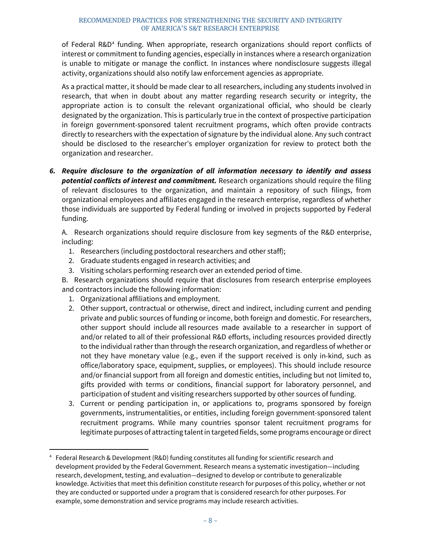of Federal R&D<sup>[4](#page-12-0)</sup> funding. When appropriate, research organizations should report conflicts of interest or commitment to funding agencies, especially in instances where a research organization is unable to mitigate or manage the conflict. In instances where nondisclosure suggests illegal activity, organizations should also notify law enforcement agencies as appropriate.

As a practical matter, it should be made clear to all researchers, including any students involved in research, that when in doubt about any matter regarding research security or integrity, the appropriate action is to consult the relevant organizational official, who should be clearly designated by the organization. This is particularly true in the context of prospective participation in foreign government-sponsored talent recruitment programs, which often provide contracts directly to researchers with the expectation of signature by the individual alone. Any such contract should be disclosed to the researcher's employer organization for review to protect both the organization and researcher.

*6. Require disclosure to the organization of all information necessary to identify and assess potential conflicts of interest and commitment.* Research organizations should require the filing of relevant disclosures to the organization, and maintain a repository of such filings, from organizational employees and affiliates engaged in the research enterprise, regardless of whether those individuals are supported by Federal funding or involved in projects supported by Federal funding.

A. Research organizations should require disclosure from key segments of the R&D enterprise, including:

- 1. Researchers (including postdoctoral researchers and other staff);
- 2. Graduate students engaged in research activities; and
- 3. Visiting scholars performing research over an extended period of time.

B. Research organizations should require that disclosures from research enterprise employees and contractors include the following information:

- 1. Organizational affiliations and employment.
- 2. Other support, contractual or otherwise, direct and indirect, including current and pending private and public sources of funding or income, both foreign and domestic. For researchers, other support should include all resources made available to a researcher in support of and/or related to all of their professional R&D efforts, including resources provided directly to the individual rather than through the research organization, and regardless of whether or not they have monetary value (e.g., even if the support received is only in-kind, such as office/laboratory space, equipment, supplies, or employees). This should include resource and/or financial support from all foreign and domestic entities, including but not limited to, gifts provided with terms or conditions, financial support for laboratory personnel, and participation of student and visiting researchers supported by other sources of funding.
- 3. Current or pending participation in, or applications to, programs sponsored by foreign governments, instrumentalities, or entities, including foreign government-sponsored talent recruitment programs. While many countries sponsor talent recruitment programs for legitimate purposes of attracting talent in targeted fields, some programs encourage or direct

<span id="page-12-0"></span> <sup>4</sup> Federal Research & Development (R&D) funding constitutes all funding for scientific research and development provided by the Federal Government. Research means a systematic investigation—including research, development, testing, and evaluation—designed to develop or contribute to generalizable knowledge. Activities that meet this definition constitute research for purposes of this policy, whether or not they are conducted or supported under a program that is considered research for other purposes. For example, some demonstration and service programs may include research activities.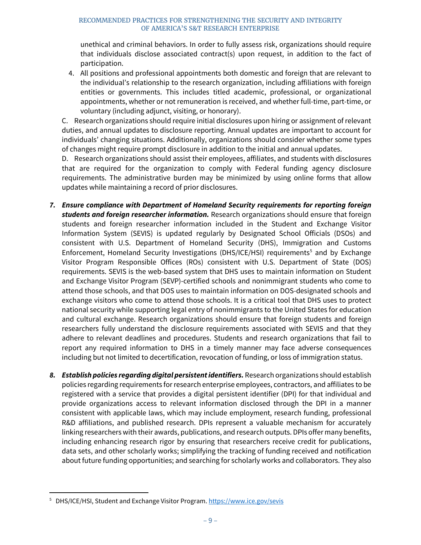unethical and criminal behaviors. In order to fully assess risk, organizations should require that individuals disclose associated contract(s) upon request, in addition to the fact of participation.

4. All positions and professional appointments both domestic and foreign that are relevant to the individual's relationship to the research organization, including affiliations with foreign entities or governments. This includes titled academic, professional, or organizational appointments, whether or not remuneration is received, and whether full-time, part-time, or voluntary (including adjunct, visiting, or honorary).

C. Research organizations should require initial disclosures upon hiring or assignment of relevant duties, and annual updates to disclosure reporting. Annual updates are important to account for individuals' changing situations. Additionally, organizations should consider whether some types of changes might require prompt disclosure in addition to the initial and annual updates.

D. Research organizations should assist their employees, affiliates, and students with disclosures that are required for the organization to comply with Federal funding agency disclosure requirements. The administrative burden may be minimized by using online forms that allow updates while maintaining a record of prior disclosures.

- *7. Ensure compliance with Department of Homeland Security requirements for reporting foreign students and foreign researcher information.* Research organizations should ensure that foreign students and foreign researcher information included in the Student and Exchange Visitor Information System (SEVIS) is updated regularly by Designated School Officials (DSOs) and consistent with U.S. Department of Homeland Security (DHS), Immigration and Customs Enforcement, Homeland Security Investigations (DHS/ICE/HSI) requirements<sup>[5](#page-13-0)</sup> and by Exchange Visitor Program Responsible Offices (ROs) consistent with U.S. Department of State (DOS) requirements. SEVIS is the web-based system that DHS uses to maintain information on Student and Exchange Visitor Program (SEVP)-certified schools and nonimmigrant students who come to attend those schools, and that DOS uses to maintain information on DOS-designated schools and exchange visitors who come to attend those schools. It is a critical tool that DHS uses to protect national security while supporting legal entry of nonimmigrants to the United States for education and cultural exchange. Research organizations should ensure that foreign students and foreign researchers fully understand the disclosure requirements associated with SEVIS and that they adhere to relevant deadlines and procedures. Students and research organizations that fail to report any required information to DHS in a timely manner may face adverse consequences including but not limited to decertification, revocation of funding, or loss of immigration status.
- *8. Establish policies regarding digital persistent identifiers.* Research organizations should establish policies regarding requirements forresearch enterprise employees, contractors, and affiliates to be registered with a service that provides a digital persistent identifier (DPI) for that individual and provide organizations access to relevant information disclosed through the DPI in a manner consistent with applicable laws, which may include employment, research funding, professional R&D affiliations, and published research. DPIs represent a valuable mechanism for accurately linking researchers with their awards, publications, and research outputs. DPIs offer many benefits, including enhancing research rigor by ensuring that researchers receive credit for publications, data sets, and other scholarly works; simplifying the tracking of funding received and notification about future funding opportunities; and searching for scholarly works and collaborators. They also

<span id="page-13-0"></span> <sup>5</sup> DHS/ICE/HSI, Student and Exchange Visitor Program[. https://www.ice.gov/sevis](https://www.ice.gov/sevis)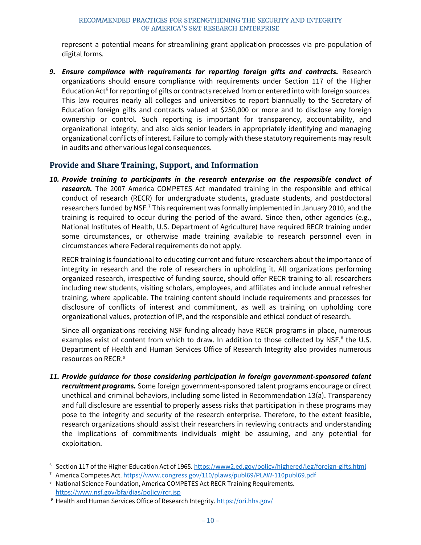represent a potential means for streamlining grant application processes via pre-population of digital forms.

9. **Ensure compliance with requirements for reporting foreign gifts and contracts.** Research organizations should ensure compliance with requirements under Section 117 of the Higher Education Act<sup>[6](#page-14-0)</sup> for reporting of gifts or contracts received from or entered into with foreign sources. This law requires nearly all colleges and universities to report biannually to the Secretary of Education foreign gifts and contracts valued at \$250,000 or more and to disclose any foreign ownership or control. Such reporting is important for transparency, accountability, and organizational integrity, and also aids senior leaders in appropriately identifying and managing organizational conflicts of interest. Failure to comply with these statutory requirements may result in audits and other various legal consequences.

### **Provide and Share Training, Support, and Information**

*10. Provide training to participants in the research enterprise on the responsible conduct of research.* The 2007 America COMPETES Act mandated training in the responsible and ethical conduct of research (RECR) for undergraduate students, graduate students, and postdoctoral researchers funded by NSF.<sup>[7](#page-14-1)</sup> This requirement was formally implemented in January 2010, and the training is required to occur during the period of the award. Since then, other agencies (e.g., National Institutes of Health, U.S. Department of Agriculture) have required RECR training under some circumstances, or otherwise made training available to research personnel even in circumstances where Federal requirements do not apply.

RECR training is foundational to educating current and future researchers about the importance of integrity in research and the role of researchers in upholding it. All organizations performing organized research, irrespective of funding source, should offer RECR training to all researchers including new students, visiting scholars, employees, and affiliates and include annual refresher training, where applicable. The training content should include requirements and processes for disclosure of conflicts of interest and commitment, as well as training on upholding core organizational values, protection of IP, and the responsible and ethical conduct of research.

Since all organizations receiving NSF funding already have RECR programs in place, numerous examples exist of content from which to draw. In addition to those collected by NSF, $^8$  $^8$  the U.S. Department of Health and Human Services Office of Research Integrity also provides numerous resources on RECR. [9](#page-14-3)

*11. Provide guidance for those considering participation in foreign government-sponsored talent recruitment programs.* Some foreign government-sponsored talent programs encourage or direct unethical and criminal behaviors, including some listed in Recommendation 13(a). Transparency and full disclosure are essential to properly assess risks that participation in these programs may pose to the integrity and security of the research enterprise. Therefore, to the extent feasible, research organizations should assist their researchers in reviewing contracts and understanding the implications of commitments individuals might be assuming, and any potential for exploitation.

<span id="page-14-0"></span> <sup>6</sup> Section 117 of the Higher Education Act of 1965[. https://www2.ed.gov/policy/highered/leg/foreign-gifts.html](https://www2.ed.gov/policy/highered/leg/foreign-gifts.html)

<span id="page-14-1"></span><sup>7</sup> America Competes Act[. https://www.congress.gov/110/plaws/publ69/PLAW-110publ69.pdf](https://www.congress.gov/110/plaws/publ69/PLAW-110publ69.pdf)

<span id="page-14-2"></span><sup>8</sup> National Science Foundation, America COMPETES Act RECR Training Requirements. <https://www.nsf.gov/bfa/dias/policy/rcr.jsp>

<span id="page-14-3"></span><sup>9</sup> Health and Human Services Office of Research Integrity[. https://ori.hhs.gov/](https://ori.hhs.gov/)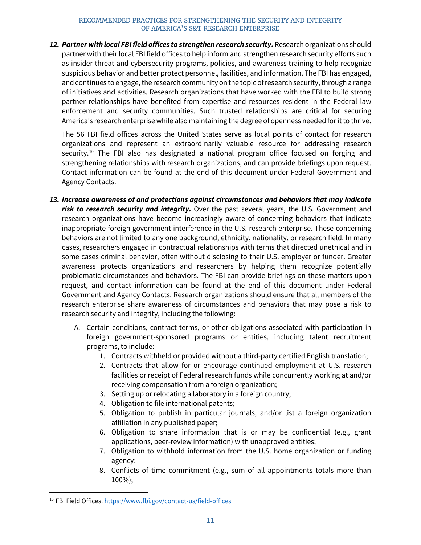*12. Partner with local FBI field offices to strengthen research security***.** Research organizations should partner with their local FBI field offices to help inform and strengthen research security efforts such as insider threat and cybersecurity programs, policies, and awareness training to help recognize suspicious behavior and better protect personnel, facilities, and information. The FBI has engaged, and continues to engage, the research community on the topic of research security, through a range of initiatives and activities. Research organizations that have worked with the FBI to build strong partner relationships have benefited from expertise and resources resident in the Federal law enforcement and security communities. Such trusted relationships are critical for securing America's research enterprise while also maintaining the degree of openness needed for it to thrive.

The 56 FBI field offices across the United States serve as local points of contact for research organizations and represent an extraordinarily valuable resource for addressing research security.<sup>[10](#page-15-0)</sup> The FBI also has designated a national program office focused on forging and strengthening relationships with research organizations, and can provide briefings upon request. Contact information can be found at the end of this document under Federal Government and Agency Contacts.

- *13. Increase awareness of and protections against circumstances and behaviors that may indicate risk to research security and integrity.* Over the past several years, the U.S. Government and research organizations have become increasingly aware of concerning behaviors that indicate inappropriate foreign government interference in the U.S. research enterprise. These concerning behaviors are not limited to any one background, ethnicity, nationality, or research field. In many cases, researchers engaged in contractual relationships with terms that directed unethical and in some cases criminal behavior, often without disclosing to their U.S. employer or funder. Greater awareness protects organizations and researchers by helping them recognize potentially problematic circumstances and behaviors. The FBI can provide briefings on these matters upon request, and contact information can be found at the end of this document under Federal Government and Agency Contacts. Research organizations should ensure that all members of the research enterprise share awareness of circumstances and behaviors that may pose a risk to research security and integrity, including the following:
	- A. Certain conditions, contract terms, or other obligations associated with participation in foreign government-sponsored programs or entities, including talent recruitment programs, to include:
		- 1. Contracts withheld or provided without a third-party certified English translation;
		- 2. Contracts that allow for or encourage continued employment at U.S. research facilities or receipt of Federal research funds while concurrently working at and/or receiving compensation from a foreign organization;
		- 3. Setting up or relocating a laboratory in a foreign country;
		- 4. Obligation to file international patents;
		- 5. Obligation to publish in particular journals, and/or list a foreign organization affiliation in any published paper;
		- 6. Obligation to share information that is or may be confidential (e.g., grant applications, peer-review information) with unapproved entities;
		- 7. Obligation to withhold information from the U.S. home organization or funding agency;
		- 8. Conflicts of time commitment (e.g., sum of all appointments totals more than 100%);

<span id="page-15-0"></span> <sup>10</sup> FBI Field Offices.<https://www.fbi.gov/contact-us/field-offices>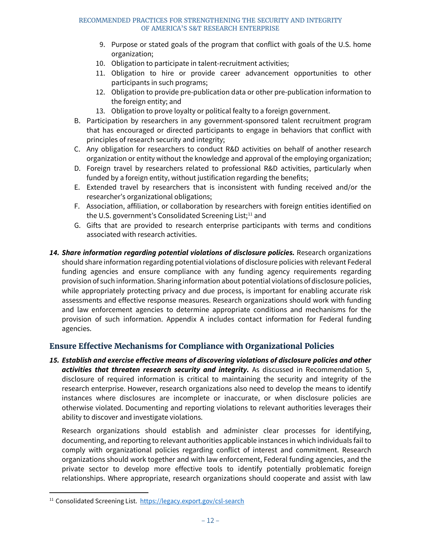- 9. Purpose or stated goals of the program that conflict with goals of the U.S. home organization;
- 10. Obligation to participate in talent-recruitment activities;
- 11. Obligation to hire or provide career advancement opportunities to other participants in such programs;
- 12. Obligation to provide pre-publication data or other pre-publication information to the foreign entity; and
- 13. Obligation to prove loyalty or political fealty to a foreign government.
- B. Participation by researchers in any government-sponsored talent recruitment program that has encouraged or directed participants to engage in behaviors that conflict with principles of research security and integrity;
- C. Any obligation for researchers to conduct R&D activities on behalf of another research organization or entity without the knowledge and approval of the employing organization;
- D. Foreign travel by researchers related to professional R&D activities, particularly when funded by a foreign entity, without justification regarding the benefits;
- E. Extended travel by researchers that is inconsistent with funding received and/or the researcher's organizational obligations;
- F. Association, affiliation, or collaboration by researchers with foreign entities identified on the U.S. government's Consolidated Screening List;<sup>[11](#page-16-0)</sup> and
- G. Gifts that are provided to research enterprise participants with terms and conditions associated with research activities.
- 14. Share information regarding potential violations of disclosure policies. Research organizations should share information regarding potential violations of disclosure policies with relevant Federal funding agencies and ensure compliance with any funding agency requirements regarding provision of such information. Sharing information about potential violations of disclosure policies, while appropriately protecting privacy and due process, is important for enabling accurate risk assessments and effective response measures. Research organizations should work with funding and law enforcement agencies to determine appropriate conditions and mechanisms for the provision of such information. Appendix A includes contact information for Federal funding agencies.

### **Ensure Effective Mechanisms for Compliance with Organizational Policies**

*15. Establish and exercise effective means of discovering violations of disclosure policies and other activities that threaten research security and integrity.* As discussed in Recommendation 5, disclosure of required information is critical to maintaining the security and integrity of the research enterprise. However, research organizations also need to develop the means to identify instances where disclosures are incomplete or inaccurate, or when disclosure policies are otherwise violated. Documenting and reporting violations to relevant authorities leverages their ability to discover and investigate violations.

Research organizations should establish and administer clear processes for identifying, documenting, and reporting to relevant authorities applicable instances in which individuals fail to comply with organizational policies regarding conflict of interest and commitment. Research organizations should work together and with law enforcement, Federal funding agencies, and the private sector to develop more effective tools to identify potentially problematic foreign relationships. Where appropriate, research organizations should cooperate and assist with law

<span id="page-16-0"></span> <sup>11</sup> Consolidated Screening List. <https://legacy.export.gov/csl-search>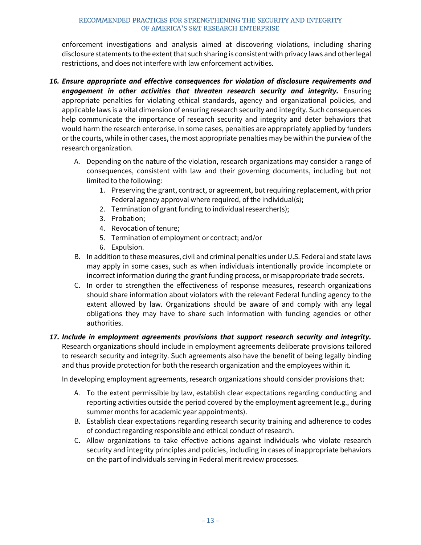enforcement investigations and analysis aimed at discovering violations, including sharing disclosure statements to the extent that such sharing is consistent with privacy laws and other legal restrictions, and does not interfere with law enforcement activities.

- *16. Ensure appropriate and effective consequences for violation of disclosure requirements and engagement in other activities that threaten research security and integrity.* Ensuring appropriate penalties for violating ethical standards, agency and organizational policies, and applicable laws is a vital dimension of ensuring research security and integrity. Such consequences help communicate the importance of research security and integrity and deter behaviors that would harm the research enterprise. In some cases, penalties are appropriately applied by funders or the courts, while in other cases, the most appropriate penalties may be within the purview of the research organization.
	- A. Depending on the nature of the violation, research organizations may consider a range of consequences, consistent with law and their governing documents, including but not limited to the following:
		- 1. Preserving the grant, contract, or agreement, but requiring replacement, with prior Federal agency approval where required, of the individual(s);
		- 2. Termination of grant funding to individual researcher(s);
		- 3. Probation;
		- 4. Revocation of tenure;
		- 5. Termination of employment or contract; and/or
		- 6. Expulsion.
	- B. In addition to these measures, civil and criminal penalties under U.S. Federal and state laws may apply in some cases, such as when individuals intentionally provide incomplete or incorrect information during the grant funding process, or misappropriate trade secrets.
	- C. In order to strengthen the effectiveness of response measures, research organizations should share information about violators with the relevant Federal funding agency to the extent allowed by law. Organizations should be aware of and comply with any legal obligations they may have to share such information with funding agencies or other authorities.
- *17. Include in employment agreements provisions that support research security and integrity.* Research organizations should include in employment agreements deliberate provisions tailored to research security and integrity. Such agreements also have the benefit of being legally binding and thus provide protection for both the research organization and the employees within it.

In developing employment agreements, research organizations should consider provisions that:

- A. To the extent permissible by law, establish clear expectations regarding conducting and reporting activities outside the period covered by the employment agreement (e.g., during summer months for academic year appointments).
- B. Establish clear expectations regarding research security training and adherence to codes of conduct regarding responsible and ethical conduct of research.
- C. Allow organizations to take effective actions against individuals who violate research security and integrity principles and policies, including in cases of inappropriate behaviors on the part of individuals serving in Federal merit review processes.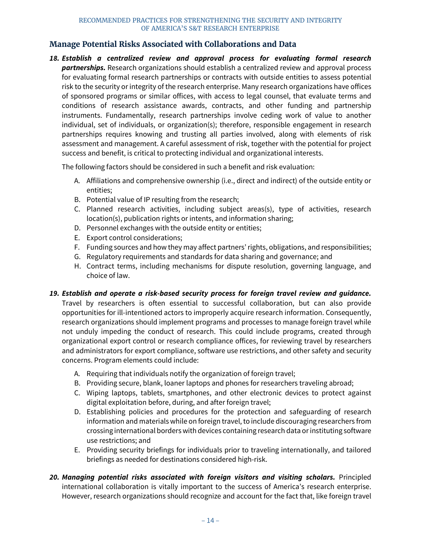### **Manage Potential Risks Associated with Collaborations and Data**

*18. Establish a centralized review and approval process for evaluating formal research partnerships.* Research organizations should establish a centralized review and approval process for evaluating formal research partnerships or contracts with outside entities to assess potential risk to the security or integrity of the research enterprise. Many research organizations have offices of sponsored programs or similar offices, with access to legal counsel, that evaluate terms and conditions of research assistance awards, contracts, and other funding and partnership instruments. Fundamentally, research partnerships involve ceding work of value to another individual, set of individuals, or organization(s); therefore, responsible engagement in research partnerships requires knowing and trusting all parties involved, along with elements of risk assessment and management. A careful assessment of risk, together with the potential for project success and benefit, is critical to protecting individual and organizational interests.

The following factors should be considered in such a benefit and risk evaluation:

- A. Affiliations and comprehensive ownership (i.e., direct and indirect) of the outside entity or entities;
- B. Potential value of IP resulting from the research;
- C. Planned research activities, including subject areas(s), type of activities, research location(s), publication rights or intents, and information sharing;
- D. Personnel exchanges with the outside entity or entities;
- E. Export control considerations;
- F. Funding sources and how they may affect partners' rights, obligations, and responsibilities;
- G. Regulatory requirements and standards for data sharing and governance; and
- H. Contract terms, including mechanisms for dispute resolution, governing language, and choice of law.
- *19. Establish and operate a risk-based security process for foreign travel review and guidance.* Travel by researchers is often essential to successful collaboration, but can also provide opportunities for ill-intentioned actors to improperly acquire research information. Consequently, research organizations should implement programs and processes to manage foreign travel while not unduly impeding the conduct of research. This could include programs, created through organizational export control or research compliance offices, for reviewing travel by researchers and administrators for export compliance, software use restrictions, and other safety and security concerns. Program elements could include:
	- A. Requiring that individuals notify the organization of foreign travel;
	- B. Providing secure, blank, loaner laptops and phones for researchers traveling abroad;
	- C. Wiping laptops, tablets, smartphones, and other electronic devices to protect against digital exploitation before, during, and after foreign travel;
	- D. Establishing policies and procedures for the protection and safeguarding of research information and materials while on foreign travel, to include discouraging researchers from crossing international borders with devices containing research data or instituting software use restrictions; and
	- E. Providing security briefings for individuals prior to traveling internationally, and tailored briefings as needed for destinations considered high-risk.
- *20. Managing potential risks associated with foreign visitors and visiting scholars.* Principled international collaboration is vitally important to the success of America's research enterprise. However, research organizations should recognize and account for the fact that, like foreign travel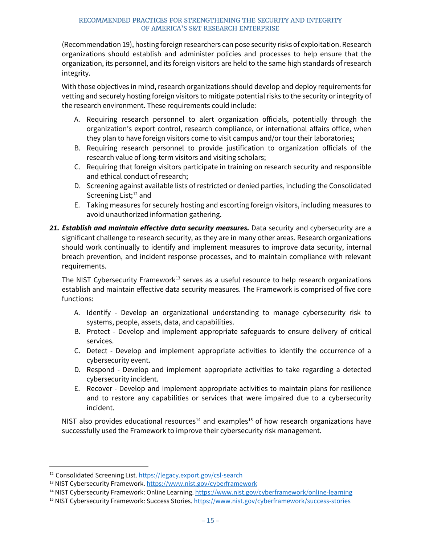(Recommendation 19), hosting foreign researchers can pose security risks of exploitation. Research organizations should establish and administer policies and processes to help ensure that the organization, its personnel, and its foreign visitors are held to the same high standards of research integrity.

With those objectives in mind, research organizations should develop and deploy requirements for vetting and securely hosting foreign visitors to mitigate potential risks to the security or integrity of the research environment. These requirements could include:

- A. Requiring research personnel to alert organization officials, potentially through the organization's export control, research compliance, or international affairs office, when they plan to have foreign visitors come to visit campus and/or tour their laboratories;
- B. Requiring research personnel to provide justification to organization officials of the research value of long-term visitors and visiting scholars;
- C. Requiring that foreign visitors participate in training on research security and responsible and ethical conduct of research;
- D. Screening against available lists of restricted or denied parties, including the Consolidated Screening List;<sup>[12](#page-19-0)</sup> and
- E. Taking measures for securely hosting and escorting foreign visitors, including measures to avoid unauthorized information gathering.
- 21. **Establish and maintain effective data security measures.** Data security and cybersecurity are a significant challenge to research security, as they are in many other areas. Research organizations should work continually to identify and implement measures to improve data security, internal breach prevention, and incident response processes, and to maintain compliance with relevant requirements.

The NIST Cybersecurity Framework<sup>[13](#page-19-1)</sup> serves as a useful resource to help research organizations establish and maintain effective data security measures. The Framework is comprised of five core functions:

- A. Identify Develop an organizational understanding to manage cybersecurity risk to systems, people, assets, data, and capabilities.
- B. Protect Develop and implement appropriate safeguards to ensure delivery of critical services.
- C. Detect Develop and implement appropriate activities to identify the occurrence of a cybersecurity event.
- D. Respond Develop and implement appropriate activities to take regarding a detected cybersecurity incident.
- E. Recover Develop and implement appropriate activities to maintain plans for resilience and to restore any capabilities or services that were impaired due to a cybersecurity incident.

NIST also provides educational resources<sup>[14](#page-19-2)</sup> and examples<sup>[15](#page-19-3)</sup> of how research organizations have successfully used the Framework to improve their cybersecurity risk management.

<span id="page-19-2"></span><sup>14</sup> NIST Cybersecurity Framework: Online Learning.<https://www.nist.gov/cyberframework/online-learning>

<span id="page-19-0"></span> <sup>12</sup> Consolidated Screening List.<https://legacy.export.gov/csl-search>

<span id="page-19-1"></span><sup>&</sup>lt;sup>13</sup> NIST Cybersecurity Framework[. https://www.nist.gov/cyberframework](https://www.nist.gov/cyberframework)

<span id="page-19-3"></span><sup>15</sup> NIST Cybersecurity Framework: Success Stories[. https://www.nist.gov/cyberframework/success-stories](https://www.nist.gov/cyberframework/success-stories)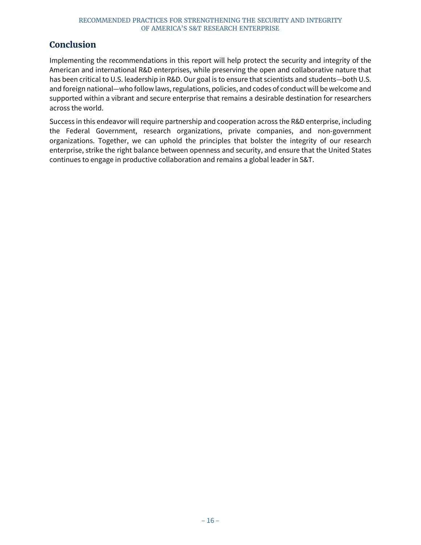### <span id="page-20-0"></span>**Conclusion**

Implementing the recommendations in this report will help protect the security and integrity of the American and international R&D enterprises, while preserving the open and collaborative nature that has been critical to U.S. leadership in R&D. Our goal is to ensure that scientists and students—both U.S. and foreign national—who follow laws, regulations, policies, and codes of conduct will be welcome and supported within a vibrant and secure enterprise that remains a desirable destination for researchers across the world.

Success in this endeavor will require partnership and cooperation across the R&D enterprise, including the Federal Government, research organizations, private companies, and non-government organizations. Together, we can uphold the principles that bolster the integrity of our research enterprise, strike the right balance between openness and security, and ensure that the United States continues to engage in productive collaboration and remains a global leader in S&T.